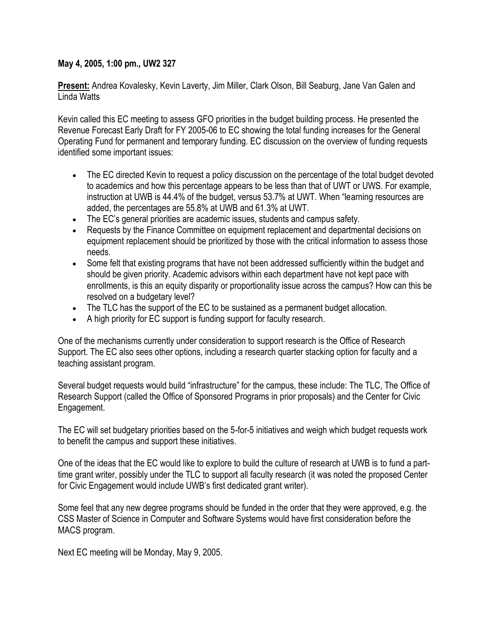## **May 4, 2005, 1:00 pm., UW2 327**

**Present:** Andrea Kovalesky, Kevin Laverty, Jim Miller, Clark Olson, Bill Seaburg, Jane Van Galen and Linda Watts

Kevin called this EC meeting to assess GFO priorities in the budget building process. He presented the Revenue Forecast Early Draft for FY 2005-06 to EC showing the total funding increases for the General Operating Fund for permanent and temporary funding. EC discussion on the overview of funding requests identified some important issues:

- The EC directed Kevin to request a policy discussion on the percentage of the total budget devoted to academics and how this percentage appears to be less than that of UWT or UWS. For example, instruction at UWB is 44.4% of the budget, versus 53.7% at UWT. When "learning resources are added, the percentages are 55.8% at UWB and 61.3% at UWT.
- The EC's general priorities are academic issues, students and campus safety.
- Requests by the Finance Committee on equipment replacement and departmental decisions on equipment replacement should be prioritized by those with the critical information to assess those needs.
- Some felt that existing programs that have not been addressed sufficiently within the budget and should be given priority. Academic advisors within each department have not kept pace with enrollments, is this an equity disparity or proportionality issue across the campus? How can this be resolved on a budgetary level?
- The TLC has the support of the EC to be sustained as a permanent budget allocation.
- A high priority for EC support is funding support for faculty research.

One of the mechanisms currently under consideration to support research is the Office of Research Support. The EC also sees other options, including a research quarter stacking option for faculty and a teaching assistant program.

Several budget requests would build "infrastructure" for the campus, these include: The TLC, The Office of Research Support (called the Office of Sponsored Programs in prior proposals) and the Center for Civic Engagement.

The EC will set budgetary priorities based on the 5-for-5 initiatives and weigh which budget requests work to benefit the campus and support these initiatives.

One of the ideas that the EC would like to explore to build the culture of research at UWB is to fund a parttime grant writer, possibly under the TLC to support all faculty research (it was noted the proposed Center for Civic Engagement would include UWB's first dedicated grant writer).

Some feel that any new degree programs should be funded in the order that they were approved, e.g. the CSS Master of Science in Computer and Software Systems would have first consideration before the MACS program.

Next EC meeting will be Monday, May 9, 2005.